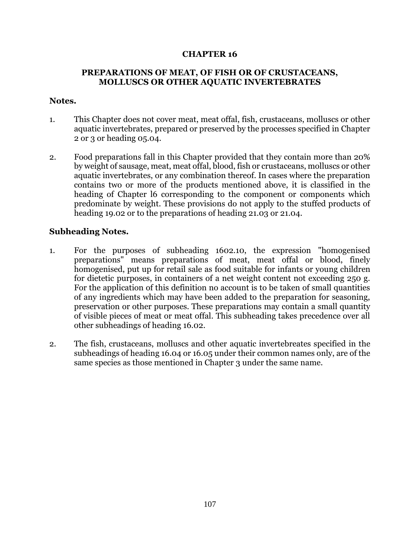## **CHAPTER 16**

## **PREPARATIONS OF MEAT, OF FISH OR OF CRUSTACEANS, MOLLUSCS OR OTHER AQUATIC INVERTEBRATES**

## **Notes.**

- 1. This Chapter does not cover meat, meat offal, fish, crustaceans, molluscs or other aquatic invertebrates, prepared or preserved by the processes specified in Chapter 2 or 3 or heading 05.04.
- 2. Food preparations fall in this Chapter provided that they contain more than 20% by weight of sausage, meat, meat offal, blood, fish or crustaceans, molluscs or other aquatic invertebrates, or any combination thereof. In cases where the preparation contains two or more of the products mentioned above, it is classified in the heading of Chapter l6 corresponding to the component or components which predominate by weight. These provisions do not apply to the stuffed products of heading 19.02 or to the preparations of heading 21.03 or 21.04.

## **Subheading Notes.**

- 1. For the purposes of subheading 1602.10, the expression "homogenised preparations" means preparations of meat, meat offal or blood, finely homogenised, put up for retail sale as food suitable for infants or young children for dietetic purposes, in containers of a net weight content not exceeding 250 g. For the application of this definition no account is to be taken of small quantities of any ingredients which may have been added to the preparation for seasoning, preservation or other purposes. These preparations may contain a small quantity of visible pieces of meat or meat offal. This subheading takes precedence over all other subheadings of heading 16.02.
- 2. The fish, crustaceans, molluscs and other aquatic invertebreates specified in the subheadings of heading 16.04 or 16.05 under their common names only, are of the same species as those mentioned in Chapter 3 under the same name.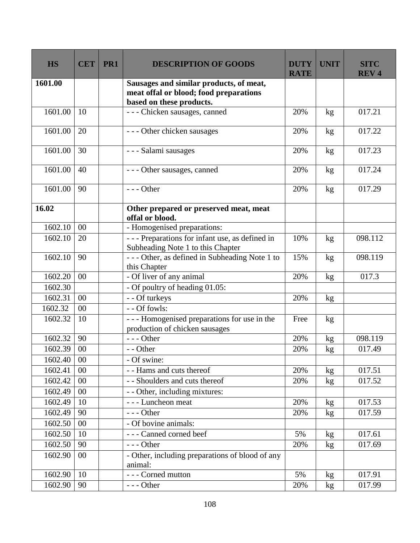| <b>HS</b> | <b>CET</b> | PR1 | <b>DESCRIPTION OF GOODS</b>                                                                                   | <b>DUTY</b><br><b>RATE</b> | <b>UNIT</b>     | <b>SITC</b><br><b>REV4</b> |
|-----------|------------|-----|---------------------------------------------------------------------------------------------------------------|----------------------------|-----------------|----------------------------|
| 1601.00   |            |     | Sausages and similar products, of meat,<br>meat offal or blood; food preparations<br>based on these products. |                            |                 |                            |
| 1601.00   | 10         |     | - - - Chicken sausages, canned                                                                                | 20%                        | kg              | 017.21                     |
| 1601.00   | 20         |     | --- Other chicken sausages                                                                                    | 20%                        | kg              | 017.22                     |
| 1601.00   | 30         |     | - - - Salami sausages                                                                                         | 20%                        | kg              | 017.23                     |
| 1601.00   | 40         |     | - - - Other sausages, canned                                                                                  | 20%                        | kg              | 017.24                     |
| 1601.00   | 90         |     | $--$ Other                                                                                                    | 20%                        | kg              | 017.29                     |
| 16.02     |            |     | Other prepared or preserved meat, meat<br>offal or blood.                                                     |                            |                 |                            |
| 1602.10   | $00\,$     |     | - Homogenised preparations:                                                                                   |                            |                 |                            |
| 1602.10   | 20         |     | --- Preparations for infant use, as defined in<br>Subheading Note 1 to this Chapter                           | 10%                        | kg              | 098.112                    |
| 1602.10   | 90         |     | --- Other, as defined in Subheading Note 1 to<br>this Chapter                                                 | 15%                        | kg              | 098.119                    |
| 1602.20   | 00         |     | - Of liver of any animal                                                                                      | 20%                        | kg              | 017.3                      |
| 1602.30   |            |     | - Of poultry of heading 01.05:                                                                                |                            |                 |                            |
| 1602.31   | 00         |     | - - Of turkeys                                                                                                | 20%                        | kg              |                            |
| 1602.32   | 00         |     | - - Of fowls:                                                                                                 |                            |                 |                            |
| 1602.32   | 10         |     | --- Homogenised preparations for use in the<br>production of chicken sausages                                 | Free                       | kg              |                            |
| 1602.32   | 90         |     | $--$ Other                                                                                                    | 20%                        | kg              | 098.119                    |
| 1602.39   | $00\,$     |     | - - Other                                                                                                     | 20%                        | $\mathrm{kg}$   | 017.49                     |
| 1602.40   | 00         |     | - Of swine:                                                                                                   |                            |                 |                            |
| 1602.41   | 00         |     | - - Hams and cuts thereof                                                                                     | 20%                        | kg              | 017.51                     |
| 1602.42   | 00         |     | - - Shoulders and cuts thereof                                                                                | 20%                        | kg              | 017.52                     |
| 1602.49   | $00\,$     |     | - - Other, including mixtures:                                                                                |                            |                 |                            |
| 1602.49   | 10         |     | --- Luncheon meat                                                                                             | 20%                        | kg              | 017.53                     |
| 1602.49   | 90         |     | $--$ Other                                                                                                    | 20%                        | kg              | 017.59                     |
| 1602.50   | 00         |     | - Of bovine animals:                                                                                          |                            |                 |                            |
| 1602.50   | 10         |     | --- Canned corned beef                                                                                        | 5%                         | kg <sub>2</sub> | 017.61                     |
| 1602.50   | 90         |     | $--$ Other                                                                                                    | 20%                        | kg              | 017.69                     |
| 1602.90   | $00\,$     |     | - Other, including preparations of blood of any<br>animal:                                                    |                            |                 |                            |
| 1602.90   | 10         |     | - - - Corned mutton                                                                                           | 5%                         | kg              | 017.91                     |
| 1602.90   | 90         |     | $--$ Other                                                                                                    | 20%                        | kg              | 017.99                     |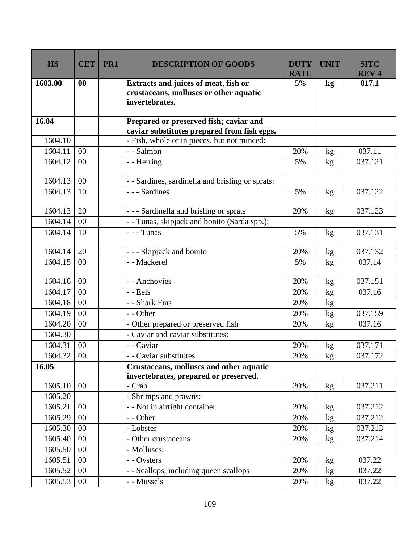| <b>HS</b> | <b>CET</b> | PR1 | <b>DESCRIPTION OF GOODS</b>                                                                      | <b>DUTY</b><br><b>RATE</b> | <b>UNIT</b>   | <b>SITC</b><br><b>REV4</b> |
|-----------|------------|-----|--------------------------------------------------------------------------------------------------|----------------------------|---------------|----------------------------|
| 1603.00   | 00         |     | Extracts and juices of meat, fish or<br>crustaceans, molluscs or other aquatic<br>invertebrates. | 5%                         | $\mathbf{kg}$ | 017.1                      |
| 16.04     |            |     | Prepared or preserved fish; caviar and<br>caviar substitutes prepared from fish eggs.            |                            |               |                            |
| 1604.10   |            |     | - Fish, whole or in pieces, but not minced:                                                      |                            |               |                            |
| 1604.11   | 00         |     | - - Salmon                                                                                       | 20%                        | kg            | 037.11                     |
| 1604.12   | 00         |     | - - Herring                                                                                      | 5%                         | kg            | 037.121                    |
| 1604.13   | 00         |     | - - Sardines, sardinella and brisling or sprats:                                                 |                            |               |                            |
| 1604.13   | 10         |     | - - - Sardines                                                                                   | 5%                         | kg            | 037.122                    |
| 1604.13   | 20         |     | --- Sardinella and brisling or sprats                                                            | 20%                        | kg            | 037.123                    |
| 1604.14   | 00         |     | - - Tunas, skipjack and bonito (Sarda spp.):                                                     |                            |               |                            |
| 1604.14   | 10         |     | $--$ Tunas                                                                                       | 5%                         | kg            | 037.131                    |
| 1604.14   | 20         |     | - - - Skipjack and bonito                                                                        | 20%                        | kg            | 037.132                    |
| 1604.15   | 00         |     | - - Mackerel                                                                                     | 5%                         | kg            | 037.14                     |
| 1604.16   | 00         |     | - - Anchovies                                                                                    | 20%                        | kg            | 037.151                    |
| 1604.17   | 00         |     | $-$ Eels                                                                                         | 20%                        | kg            | 037.16                     |
| 1604.18   | 00         |     | - - Shark Fins                                                                                   | 20%                        | kg            |                            |
| 1604.19   | 00         |     | - - Other                                                                                        | 20%                        | kg            | 037.159                    |
| 1604.20   | 00         |     | - Other prepared or preserved fish                                                               | 20%                        | kg            | 037.16                     |
| 1604.30   |            |     | - Caviar and caviar substitutes:                                                                 |                            |               |                            |
| 1604.31   | 00         |     | - - Caviar                                                                                       | 20%                        | kg            | 037.171                    |
| 1604.32   | $00\,$     |     | - - Caviar substitutes                                                                           | 20%                        | kg            | 037.172                    |
| 16.05     |            |     | Crustaceans, molluscs and other aquatic<br>invertebrates, prepared or preserved.                 |                            |               |                            |
| 1605.10   | 00         |     | - Crab                                                                                           | 20%                        | kg            | 037.211                    |
| 1605.20   |            |     | - Shrimps and prawns:                                                                            |                            |               |                            |
| 1605.21   | $00\,$     |     | - - Not in airtight container                                                                    | 20%                        | kg            | 037.212                    |
| 1605.29   | 00         |     | - - Other                                                                                        | 20%                        | kg            | 037.212                    |
| 1605.30   | 00         |     | - Lobster                                                                                        | 20%                        | kg            | 037.213                    |
| 1605.40   | 00         |     | - Other crustaceans                                                                              | 20%                        | kg            | 037.214                    |
| 1605.50   | $00\,$     |     | - Molluscs:                                                                                      |                            |               |                            |
| 1605.51   | 00         |     | - - Oysters                                                                                      | 20%                        | kg            | 037.22                     |
| 1605.52   | 00         |     | - - Scallops, including queen scallops                                                           | 20%                        | kg            | 037.22                     |
| 1605.53   | $00\,$     |     | - - Mussels                                                                                      | 20%                        | kg            | 037.22                     |